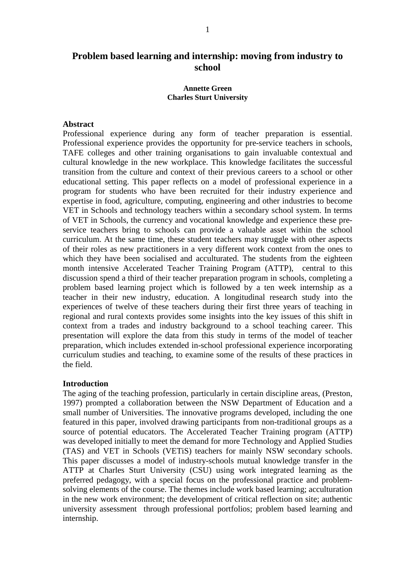# **Problem based learning and internship: moving from industry to school**

#### **Annette Green Charles Sturt University**

#### **Abstract**

Professional experience during any form of teacher preparation is essential. Professional experience provides the opportunity for pre-service teachers in schools, TAFE colleges and other training organisations to gain invaluable contextual and cultural knowledge in the new workplace. This knowledge facilitates the successful transition from the culture and context of their previous careers to a school or other educational setting. This paper reflects on a model of professional experience in a program for students who have been recruited for their industry experience and expertise in food, agriculture, computing, engineering and other industries to become VET in Schools and technology teachers within a secondary school system. In terms of VET in Schools, the currency and vocational knowledge and experience these preservice teachers bring to schools can provide a valuable asset within the school curriculum. At the same time, these student teachers may struggle with other aspects of their roles as new practitioners in a very different work context from the ones to which they have been socialised and acculturated. The students from the eighteen month intensive Accelerated Teacher Training Program (ATTP), central to this discussion spend a third of their teacher preparation program in schools, completing a problem based learning project which is followed by a ten week internship as a teacher in their new industry, education. A longitudinal research study into the experiences of twelve of these teachers during their first three years of teaching in regional and rural contexts provides some insights into the key issues of this shift in context from a trades and industry background to a school teaching career. This presentation will explore the data from this study in terms of the model of teacher preparation, which includes extended in-school professional experience incorporating curriculum studies and teaching, to examine some of the results of these practices in the field.

#### **Introduction**

The aging of the teaching profession, particularly in certain discipline areas, (Preston, 1997) prompted a collaboration between the NSW Department of Education and a small number of Universities. The innovative programs developed, including the one featured in this paper, involved drawing participants from non-traditional groups as a source of potential educators. The Accelerated Teacher Training program (ATTP) was developed initially to meet the demand for more Technology and Applied Studies (TAS) and VET in Schools (VETiS) teachers for mainly NSW secondary schools. This paper discusses a model of industry-schools mutual knowledge transfer in the ATTP at Charles Sturt University (CSU) using work integrated learning as the preferred pedagogy, with a special focus on the professional practice and problemsolving elements of the course. The themes include work based learning; acculturation in the new work environment; the development of critical reflection on site; authentic university assessment through professional portfolios; problem based learning and internship.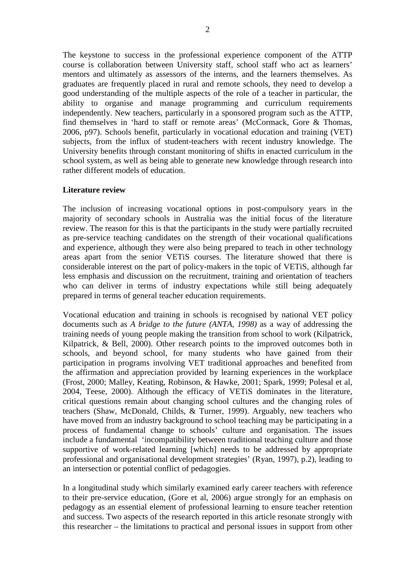The keystone to success in the professional experience component of the ATTP course is collaboration between University staff, school staff who act as learners' mentors and ultimately as assessors of the interns, and the learners themselves. As graduates are frequently placed in rural and remote schools, they need to develop a good understanding of the multiple aspects of the role of a teacher in particular, the ability to organise and manage programming and curriculum requirements independently. New teachers, particularly in a sponsored program such as the ATTP, find themselves in 'hard to staff or remote areas' (McCormack, Gore & Thomas, 2006, p97). Schools benefit, particularly in vocational education and training (VET) subjects, from the influx of student-teachers with recent industry knowledge. The University benefits through constant monitoring of shifts in enacted curriculum in the school system, as well as being able to generate new knowledge through research into rather different models of education.

### **Literature review**

The inclusion of increasing vocational options in post-compulsory years in the majority of secondary schools in Australia was the initial focus of the literature review. The reason for this is that the participants in the study were partially recruited as pre-service teaching candidates on the strength of their vocational qualifications and experience, although they were also being prepared to teach in other technology areas apart from the senior VETiS courses. The literature showed that there is considerable interest on the part of policy-makers in the topic of VETiS, although far less emphasis and discussion on the recruitment, training and orientation of teachers who can deliver in terms of industry expectations while still being adequately prepared in terms of general teacher education requirements.

Vocational education and training in schools is recognised by national VET policy documents such as *A bridge to the future (ANTA, 1998)* as a way of addressing the training needs of young people making the transition from school to work (Kilpatrick, Kilpatrick, & Bell, 2000). Other research points to the improved outcomes both in schools, and beyond school, for many students who have gained from their participation in programs involving VET traditional approaches and benefited from the affirmation and appreciation provided by learning experiences in the workplace (Frost, 2000; Malley, Keating, Robinson, & Hawke, 2001; Spark, 1999; Polesal et al, 2004, Teese, 2000). Although the efficacy of VETiS dominates in the literature, critical questions remain about changing school cultures and the changing roles of teachers (Shaw, McDonald, Childs, & Turner, 1999). Arguably, new teachers who have moved from an industry background to school teaching may be participating in a process of fundamental change to schools' culture and organisation. The issues include a fundamental 'incompatibility between traditional teaching culture and those supportive of work-related learning [which] needs to be addressed by appropriate professional and organisational development strategies' (Ryan, 1997), p.2), leading to an intersection or potential conflict of pedagogies.

In a longitudinal study which similarly examined early career teachers with reference to their pre-service education, (Gore et al, 2006) argue strongly for an emphasis on pedagogy as an essential element of professional learning to ensure teacher retention and success. Two aspects of the research reported in this article resonate strongly with this researcher – the limitations to practical and personal issues in support from other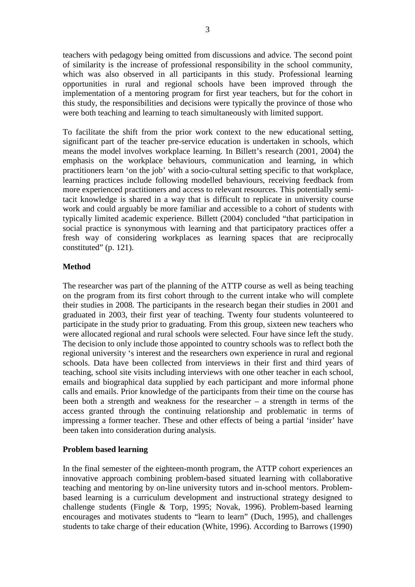teachers with pedagogy being omitted from discussions and advice. The second point of similarity is the increase of professional responsibility in the school community, which was also observed in all participants in this study. Professional learning opportunities in rural and regional schools have been improved through the implementation of a mentoring program for first year teachers, but for the cohort in this study, the responsibilities and decisions were typically the province of those who were both teaching and learning to teach simultaneously with limited support.

To facilitate the shift from the prior work context to the new educational setting, significant part of the teacher pre-service education is undertaken in schools, which means the model involves workplace learning. In Billett's research (2001, 2004) the emphasis on the workplace behaviours, communication and learning, in which practitioners learn 'on the job' with a socio-cultural setting specific to that workplace, learning practices include following modelled behaviours, receiving feedback from more experienced practitioners and access to relevant resources. This potentially semitacit knowledge is shared in a way that is difficult to replicate in university course work and could arguably be more familiar and accessible to a cohort of students with typically limited academic experience. Billett (2004) concluded "that participation in social practice is synonymous with learning and that participatory practices offer a fresh way of considering workplaces as learning spaces that are reciprocally constituted" (p. 121).

# **Method**

The researcher was part of the planning of the ATTP course as well as being teaching on the program from its first cohort through to the current intake who will complete their studies in 2008. The participants in the research began their studies in 2001 and graduated in 2003, their first year of teaching. Twenty four students volunteered to participate in the study prior to graduating. From this group, sixteen new teachers who were allocated regional and rural schools were selected. Four have since left the study. The decision to only include those appointed to country schools was to reflect both the regional university 's interest and the researchers own experience in rural and regional schools. Data have been collected from interviews in their first and third years of teaching, school site visits including interviews with one other teacher in each school, emails and biographical data supplied by each participant and more informal phone calls and emails. Prior knowledge of the participants from their time on the course has been both a strength and weakness for the researcher  $-$  a strength in terms of the access granted through the continuing relationship and problematic in terms of impressing a former teacher. These and other effects of being a partial 'insider' have been taken into consideration during analysis.

### **Problem based learning**

In the final semester of the eighteen-month program, the ATTP cohort experiences an innovative approach combining problem-based situated learning with collaborative teaching and mentoring by on-line university tutors and in-school mentors. Problembased learning is a curriculum development and instructional strategy designed to challenge students (Fingle & Torp, 1995; Novak, 1996). Problem-based learning encourages and motivates students to "learn to learn" (Duch, 1995), and challenges students to take charge of their education (White, 1996). According to Barrows (1990)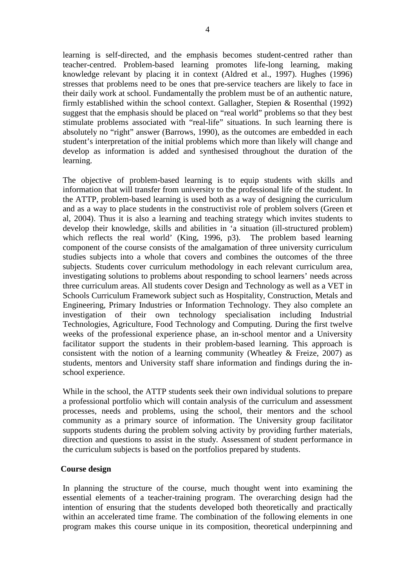learning is self-directed, and the emphasis becomes student-centred rather than teacher-centred. Problem-based learning promotes life-long learning, making knowledge relevant by placing it in context (Aldred et al., 1997). Hughes (1996) stresses that problems need to be ones that pre-service teachers are likely to face in their daily work at school. Fundamentally the problem must be of an authentic nature, firmly established within the school context. Gallagher, Stepien & Rosenthal (1992) suggest that the emphasis should be placed on "real world" problems so that they best stimulate problems associated with "real-life" situations. In such learning there is absolutely no "right" answer (Barrows, 1990), as the outcomes are embedded in each student's interpretation of the initial problems which more than likely will change and develop as information is added and synthesised throughout the duration of the learning.

The objective of problem-based learning is to equip students with skills and information that will transfer from university to the professional life of the student. In the ATTP, problem-based learning is used both as a way of designing the curriculum and as a way to place students in the constructivist role of problem solvers (Green et al, 2004). Thus it is also a learning and teaching strategy which invites students to develop their knowledge, skills and abilities in 'a situation (ill-structured problem) which reflects the real world' (King, 1996, p3). The problem based learning component of the course consists of the amalgamation of three university curriculum studies subjects into a whole that covers and combines the outcomes of the three subjects. Students cover curriculum methodology in each relevant curriculum area, investigating solutions to problems about responding to school learners' needs across three curriculum areas. All students cover Design and Technology as well as a VET in Schools Curriculum Framework subject such as Hospitality, Construction, Metals and Engineering, Primary Industries or Information Technology. They also complete an investigation of their own technology specialisation including Industrial Technologies, Agriculture, Food Technology and Computing. During the first twelve weeks of the professional experience phase, an in-school mentor and a University facilitator support the students in their problem-based learning. This approach is consistent with the notion of a learning community (Wheatley  $\&$  Freize, 2007) as students, mentors and University staff share information and findings during the inschool experience.

While in the school, the ATTP students seek their own individual solutions to prepare a professional portfolio which will contain analysis of the curriculum and assessment processes, needs and problems, using the school, their mentors and the school community as a primary source of information. The University group facilitator supports students during the problem solving activity by providing further materials, direction and questions to assist in the study. Assessment of student performance in the curriculum subjects is based on the portfolios prepared by students.

## **Course design**

In planning the structure of the course, much thought went into examining the essential elements of a teacher-training program. The overarching design had the intention of ensuring that the students developed both theoretically and practically within an accelerated time frame. The combination of the following elements in one program makes this course unique in its composition, theoretical underpinning and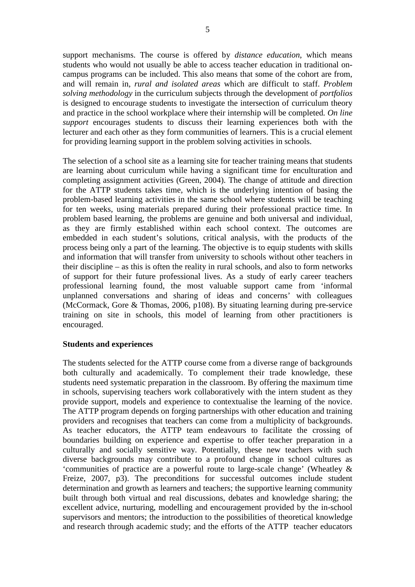support mechanisms. The course is offered by *distance education*, which means students who would not usually be able to access teacher education in traditional oncampus programs can be included. This also means that some of the cohort are from, and will remain in, *rural and isolated areas* which are difficult to staff. *Problem solving methodology* in the curriculum subjects through the development of *portfolios* is designed to encourage students to investigate the intersection of curriculum theory and practice in the school workplace where their internship will be completed*. On line support* encourages students to discuss their learning experiences both with the lecturer and each other as they form communities of learners. This is a crucial element for providing learning support in the problem solving activities in schools.

The selection of a school site as a learning site for teacher training means that students are learning about curriculum while having a significant time for enculturation and completing assignment activities (Green, 2004). The change of attitude and direction for the ATTP students takes time, which is the underlying intention of basing the problem-based learning activities in the same school where students will be teaching for ten weeks, using materials prepared during their professional practice time. In problem based learning, the problems are genuine and both universal and individual, as they are firmly established within each school context. The outcomes are embedded in each student's solutions, critical analysis, with the products of the process being only a part of the learning. The objective is to equip students with skills and information that will transfer from university to schools without other teachers in their discipline – as this is often the reality in rural schools, and also to form networks of support for their future professional lives. As a study of early career teachers professional learning found, the most valuable support came from 'informal unplanned conversations and sharing of ideas and concerns' with colleagues (McCormack, Gore & Thomas, 2006, p108). By situating learning during pre-service training on site in schools, this model of learning from other practitioners is encouraged.

### **Students and experiences**

The students selected for the ATTP course come from a diverse range of backgrounds both culturally and academically. To complement their trade knowledge, these students need systematic preparation in the classroom. By offering the maximum time in schools, supervising teachers work collaboratively with the intern student as they provide support, models and experience to contextualise the learning of the novice. The ATTP program depends on forging partnerships with other education and training providers and recognises that teachers can come from a multiplicity of backgrounds. As teacher educators, the ATTP team endeavours to facilitate the crossing of boundaries building on experience and expertise to offer teacher preparation in a culturally and socially sensitive way. Potentially, these new teachers with such diverse backgrounds may contribute to a profound change in school cultures as 'communities of practice are a powerful route to large-scale change' (Wheatley & Freize, 2007, p3). The preconditions for successful outcomes include student determination and growth as learners and teachers; the supportive learning community built through both virtual and real discussions, debates and knowledge sharing; the excellent advice, nurturing, modelling and encouragement provided by the in-school supervisors and mentors; the introduction to the possibilities of theoretical knowledge and research through academic study; and the efforts of the ATTP teacher educators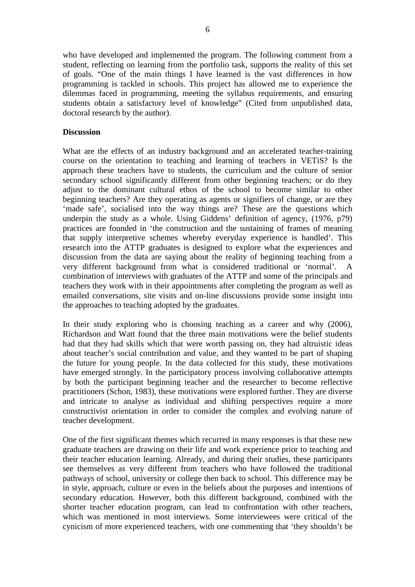who have developed and implemented the program. The following comment from a student, reflecting on learning from the portfolio task, supports the reality of this set of goals. "One of the main things I have learned is the vast differences in how programming is tackled in schools. This project has allowed me to experience the dilemmas faced in programming, meeting the syllabus requirements, and ensuring students obtain a satisfactory level of knowledge" (Cited from unpublished data, doctoral research by the author).

### **Discussion**

What are the effects of an industry background and an accelerated teacher-training course on the orientation to teaching and learning of teachers in VETiS? Is the approach these teachers have to students, the curriculum and the culture of senior secondary school significantly different from other beginning teachers; or do they adjust to the dominant cultural ethos of the school to become similar to other beginning teachers? Are they operating as agents or signifiers of change, or are they 'made safe', socialised into the way things are? These are the questions which underpin the study as a whole. Using Giddens' definition of agency, (1976, p79) practices are founded in 'the construction and the sustaining of frames of meaning that supply interpretive schemes whereby everyday experience is handled'. This research into the ATTP graduates is designed to explore what the experiences and discussion from the data are saying about the reality of beginning teaching from a very different background from what is considered traditional or 'normal'. A combination of interviews with graduates of the ATTP and some of the principals and teachers they work with in their appointments after completing the program as well as emailed conversations, site visits and on-line discussions provide some insight into the approaches to teaching adopted by the graduates.

In their study exploring who is choosing teaching as a career and why (2006), Richardson and Watt found that the three main motivations were the belief students had that they had skills which that were worth passing on, they had altruistic ideas about teacher's social contribution and value, and they wanted to be part of shaping the future for young people. In the data collected for this study, these motivations have emerged strongly. In the participatory process involving collaborative attempts by both the participant beginning teacher and the researcher to become reflective practitioners (Schon, 1983), these motivations were explored further. They are diverse and intricate to analyse as individual and shifting perspectives require a more constructivist orientation in order to consider the complex and evolving nature of teacher development.

One of the first significant themes which recurred in many responses is that these new graduate teachers are drawing on their life and work experience prior to teaching and their teacher education learning. Already, and during their studies, these participants see themselves as very different from teachers who have followed the traditional pathways of school, university or college then back to school. This difference may be in style, approach, culture or even in the beliefs about the purposes and intentions of secondary education. However, both this different background, combined with the shorter teacher education program, can lead to confrontation with other teachers, which was mentioned in most interviews. Some interviewees were critical of the cynicism of more experienced teachers, with one commenting that 'they shouldn't be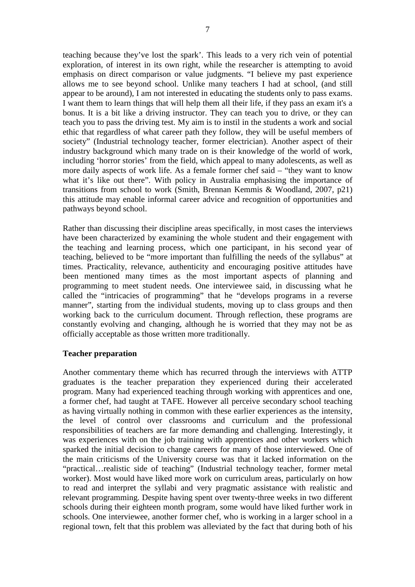teaching because they've lost the spark'. This leads to a very rich vein of potential exploration, of interest in its own right, while the researcher is attempting to avoid emphasis on direct comparison or value judgments. "I believe my past experience allows me to see beyond school. Unlike many teachers I had at school, (and still appear to be around), I am not interested in educating the students only to pass exams. I want them to learn things that will help them all their life, if they pass an exam it's a bonus. It is a bit like a driving instructor. They can teach you to drive, or they can teach you to pass the driving test. My aim is to instil in the students a work and social ethic that regardless of what career path they follow, they will be useful members of society" (Industrial technology teacher, former electrician). Another aspect of their industry background which many trade on is their knowledge of the world of work, including 'horror stories' from the field, which appeal to many adolescents, as well as more daily aspects of work life. As a female former chef said – "they want to know what it's like out there". With policy in Australia emphasising the importance of transitions from school to work (Smith, Brennan Kemmis & Woodland, 2007, p21) this attitude may enable informal career advice and recognition of opportunities and pathways beyond school.

Rather than discussing their discipline areas specifically, in most cases the interviews have been characterized by examining the whole student and their engagement with the teaching and learning process, which one participant, in his second year of teaching, believed to be "more important than fulfilling the needs of the syllabus" at times. Practicality, relevance, authenticity and encouraging positive attitudes have been mentioned many times as the most important aspects of planning and programming to meet student needs. One interviewee said, in discussing what he called the "intricacies of programming" that he "develops programs in a reverse manner", starting from the individual students, moving up to class groups and then working back to the curriculum document. Through reflection, these programs are constantly evolving and changing, although he is worried that they may not be as officially acceptable as those written more traditionally.

### **Teacher preparation**

Another commentary theme which has recurred through the interviews with ATTP graduates is the teacher preparation they experienced during their accelerated program. Many had experienced teaching through working with apprentices and one, a former chef, had taught at TAFE. However all perceive secondary school teaching as having virtually nothing in common with these earlier experiences as the intensity, the level of control over classrooms and curriculum and the professional responsibilities of teachers are far more demanding and challenging. Interestingly, it was experiences with on the job training with apprentices and other workers which sparked the initial decision to change careers for many of those interviewed. One of the main criticisms of the University course was that it lacked information on the "practical…realistic side of teaching" (Industrial technology teacher, former metal worker). Most would have liked more work on curriculum areas, particularly on how to read and interpret the syllabi and very pragmatic assistance with realistic and relevant programming. Despite having spent over twenty-three weeks in two different schools during their eighteen month program, some would have liked further work in schools. One interviewee, another former chef, who is working in a larger school in a regional town, felt that this problem was alleviated by the fact that during both of his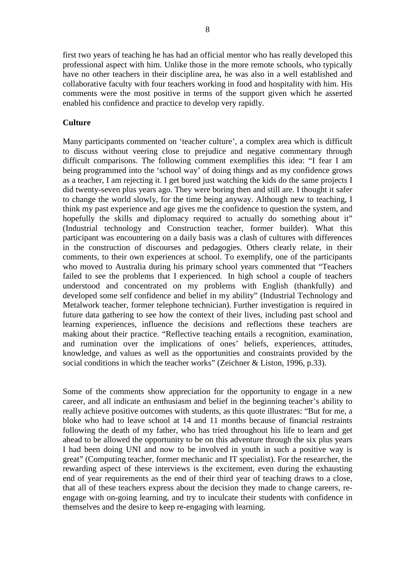first two years of teaching he has had an official mentor who has really developed this professional aspect with him. Unlike those in the more remote schools, who typically have no other teachers in their discipline area, he was also in a well established and collaborative faculty with four teachers working in food and hospitality with him. His comments were the most positive in terms of the support given which he asserted enabled his confidence and practice to develop very rapidly.

#### **Culture**

Many participants commented on 'teacher culture', a complex area which is difficult to discuss without veering close to prejudice and negative commentary through difficult comparisons. The following comment exemplifies this idea: "I fear I am being programmed into the 'school way' of doing things and as my confidence grows as a teacher, I am rejecting it. I get bored just watching the kids do the same projects I did twenty-seven plus years ago. They were boring then and still are. I thought it safer to change the world slowly, for the time being anyway. Although new to teaching, I think my past experience and age gives me the confidence to question the system, and hopefully the skills and diplomacy required to actually do something about it" (Industrial technology and Construction teacher, former builder). What this participant was encountering on a daily basis was a clash of cultures with differences in the construction of discourses and pedagogies. Others clearly relate, in their comments, to their own experiences at school. To exemplify, one of the participants who moved to Australia during his primary school years commented that "Teachers failed to see the problems that I experienced. In high school a couple of teachers understood and concentrated on my problems with English (thankfully) and developed some self confidence and belief in my ability" (Industrial Technology and Metalwork teacher, former telephone technician). Further investigation is required in future data gathering to see how the context of their lives, including past school and learning experiences, influence the decisions and reflections these teachers are making about their practice. "Reflective teaching entails a recognition, examination, and rumination over the implications of ones' beliefs, experiences, attitudes, knowledge, and values as well as the opportunities and constraints provided by the social conditions in which the teacher works" (Zeichner & Liston, 1996, p.33).

Some of the comments show appreciation for the opportunity to engage in a new career, and all indicate an enthusiasm and belief in the beginning teacher's ability to really achieve positive outcomes with students, as this quote illustrates: "But for me, a bloke who had to leave school at 14 and 11 months because of financial restraints following the death of my father, who has tried throughout his life to learn and get ahead to be allowed the opportunity to be on this adventure through the six plus years I had been doing UNI and now to be involved in youth in such a positive way is great" (Computing teacher, former mechanic and IT specialist). For the researcher, the rewarding aspect of these interviews is the excitement, even during the exhausting end of year requirements as the end of their third year of teaching draws to a close, that all of these teachers express about the decision they made to change careers, reengage with on-going learning, and try to inculcate their students with confidence in themselves and the desire to keep re-engaging with learning.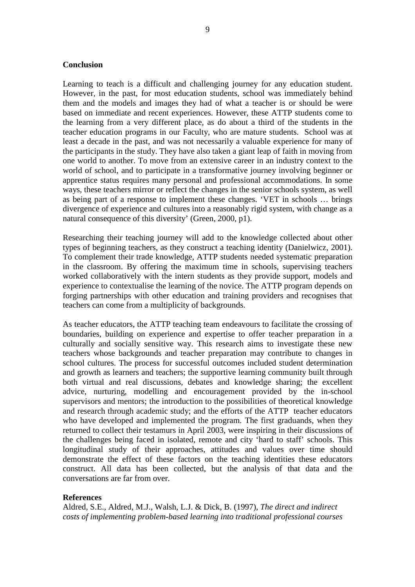#### **Conclusion**

Learning to teach is a difficult and challenging journey for any education student. However, in the past, for most education students, school was immediately behind them and the models and images they had of what a teacher is or should be were based on immediate and recent experiences. However, these ATTP students come to the learning from a very different place, as do about a third of the students in the teacher education programs in our Faculty, who are mature students. School was at least a decade in the past, and was not necessarily a valuable experience for many of the participants in the study. They have also taken a giant leap of faith in moving from one world to another. To move from an extensive career in an industry context to the world of school, and to participate in a transformative journey involving beginner or apprentice status requires many personal and professional accommodations. In some ways, these teachers mirror or reflect the changes in the senior schools system, as well as being part of a response to implement these changes. 'VET in schools … brings divergence of experience and cultures into a reasonably rigid system, with change as a natural consequence of this diversity' (Green, 2000, p1).

Researching their teaching journey will add to the knowledge collected about other types of beginning teachers, as they construct a teaching identity (Danielwicz, 2001). To complement their trade knowledge, ATTP students needed systematic preparation in the classroom. By offering the maximum time in schools, supervising teachers worked collaboratively with the intern students as they provide support, models and experience to contextualise the learning of the novice. The ATTP program depends on forging partnerships with other education and training providers and recognises that teachers can come from a multiplicity of backgrounds.

As teacher educators, the ATTP teaching team endeavours to facilitate the crossing of boundaries, building on experience and expertise to offer teacher preparation in a culturally and socially sensitive way. This research aims to investigate these new teachers whose backgrounds and teacher preparation may contribute to changes in school cultures. The process for successful outcomes included student determination and growth as learners and teachers; the supportive learning community built through both virtual and real discussions, debates and knowledge sharing; the excellent advice, nurturing, modelling and encouragement provided by the in-school supervisors and mentors; the introduction to the possibilities of theoretical knowledge and research through academic study; and the efforts of the ATTP teacher educators who have developed and implemented the program. The first graduands, when they returned to collect their testamurs in April 2003, were inspiring in their discussions of the challenges being faced in isolated, remote and city 'hard to staff' schools. This longitudinal study of their approaches, attitudes and values over time should demonstrate the effect of these factors on the teaching identities these educators construct. All data has been collected, but the analysis of that data and the conversations are far from over.

#### **References**

Aldred, S.E., Aldred, M.J., Walsh, L.J. & Dick, B. (1997), *The direct and indirect costs of implementing problem-based learning into traditional professional courses*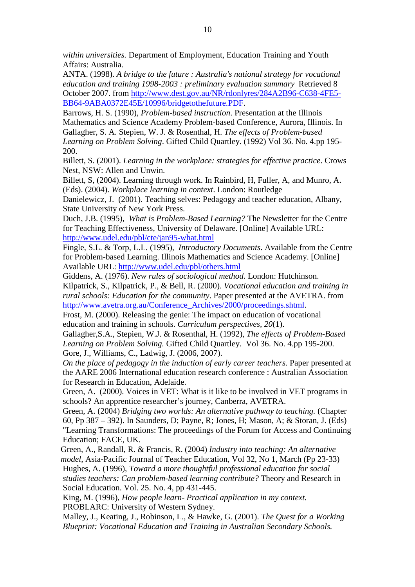*within universities.* Department of Employment, Education Training and Youth Affairs: Australia.

ANTA. (1998). *A bridge to the future : Australia's national strategy for vocational education and training 1998-2003 : preliminary evaluation summary* Retrieved 8 October 2007. from http://www.dest.gov.au/NR/rdonlyres/284A2B96-C638-4FE5- BB64-9ABA0372E45E/10996/bridgetothefuture.PDF.

Barrows, H. S. (1990), *Problem-based instruction*. Presentation at the Illinois Mathematics and Science Academy Problem-based Conference, Aurora, Illinois. In Gallagher, S. A. Stepien, W. J. & Rosenthal, H. *The effects of Problem-based Learning on Problem Solving*. Gifted Child Quartley. (1992) Vol 36. No. 4.pp 195- 200.

Billett, S. (2001). *Learning in the workplace: strategies for effective practice*. Crows Nest, NSW: Allen and Unwin.

Billett, S, (2004). Learning through work. In Rainbird, H, Fuller, A, and Munro, A. (Eds). (2004). *Workplace learning in context*. London: Routledge

Danielewicz, J. (2001). Teaching selves: Pedagogy and teacher education*,* Albany, State University of New York Press.

Duch, J.B. (1995), *What is Problem-Based Learning?* The Newsletter for the Centre for Teaching Effectiveness, University of Delaware. [Online] Available URL: http://www.udel.edu/pbl/cte/jan95-what.html

Fingle, S.L. & Torp, L.L. (1995), *Introductory Documents*. Available from the Centre for Problem-based Learning. Illinois Mathematics and Science Academy. [Online] Available URL: http://www.udel.edu/pbl/others.html

Giddens, A. (1976). *New rules of sociological method.* London: Hutchinson.

Kilpatrick, S., Kilpatrick, P., & Bell, R. (2000). *Vocational education and training in rural schools: Education for the community*. Paper presented at the AVETRA. from http://www.avetra.org.au/Conference\_Archives/2000/proceedings.shtml.

Frost, M. (2000). Releasing the genie: The impact on education of vocational education and training in schools. *Curriculum perspectives, 20*(1).

Gallagher,S.A., Stepien, W.J. & Rosenthal, H. (1992), *The effects of Problem-Based Learning on Problem Solving.* Gifted Child Quartley. Vol 36. No. 4.pp 195-200. Gore, J., Williams, C., Ladwig, J. (2006, 2007).

*On the place of pedagogy in the induction of early career teachers.* Paper presented at the AARE 2006 International education research conference : Australian Association for Research in Education, Adelaide.

Green, A. (2000). Voices in VET: What is it like to be involved in VET programs in schools? An apprentice researcher's journey*,* Canberra, AVETRA.

Green, A. (2004) *Bridging two worlds: An alternative pathway to teaching.* (Chapter 60, Pp 387 – 392). In Saunders, D; Payne, R; Jones, H; Mason, A; & Storan, J. (Eds) "Learning Transformations: The proceedings of the Forum for Access and Continuing Education; FACE, UK.

Green, A., Randall, R. & Francis, R. (2004) *Industry into teaching: An alternative model*, Asia-Pacific Journal of Teacher Education, Vol 32, No 1, March (Pp 23-33) Hughes, A. (1996), *Toward a more thoughtful professional education for social studies teachers: Can problem-based learning contribute?* Theory and Research in Social Education. Vol. 25. No. 4, pp 431-445.

King, M. (1996), *How people learn- Practical application in my context.* PROBLARC: University of Western Sydney.

Malley, J., Keating, J., Robinson, L., & Hawke, G. (2001). *The Quest for a Working Blueprint: Vocational Education and Training in Australian Secondary Schools.*